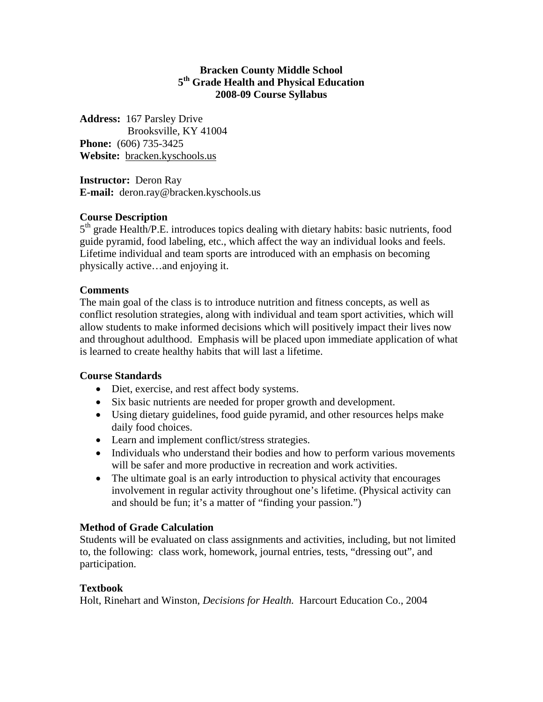### **Bracken County Middle School 5th Grade Health and Physical Education 2008-09 Course Syllabus**

**Address:** 167 Parsley Drive Brooksville, KY 41004 **Phone:** (606) 735-3425 **Website:** bracken.kyschools.us

**Instructor:** Deron Ray **E-mail:** deron.ray@bracken.kyschools.us

# **Course Description**

 $5<sup>th</sup>$  grade Health/P.E. introduces topics dealing with dietary habits: basic nutrients, food guide pyramid, food labeling, etc., which affect the way an individual looks and feels. Lifetime individual and team sports are introduced with an emphasis on becoming physically active…and enjoying it.

## **Comments**

The main goal of the class is to introduce nutrition and fitness concepts, as well as conflict resolution strategies, along with individual and team sport activities, which will allow students to make informed decisions which will positively impact their lives now and throughout adulthood. Emphasis will be placed upon immediate application of what is learned to create healthy habits that will last a lifetime.

## **Course Standards**

- Diet, exercise, and rest affect body systems.
- Six basic nutrients are needed for proper growth and development.
- Using dietary guidelines, food guide pyramid, and other resources helps make daily food choices.
- Learn and implement conflict/stress strategies.
- Individuals who understand their bodies and how to perform various movements will be safer and more productive in recreation and work activities.
- The ultimate goal is an early introduction to physical activity that encourages involvement in regular activity throughout one's lifetime. (Physical activity can and should be fun; it's a matter of "finding your passion.")

## **Method of Grade Calculation**

Students will be evaluated on class assignments and activities, including, but not limited to, the following: class work, homework, journal entries, tests, "dressing out", and participation.

## **Textbook**

Holt, Rinehart and Winston, *Decisions for Health.* Harcourt Education Co., 2004